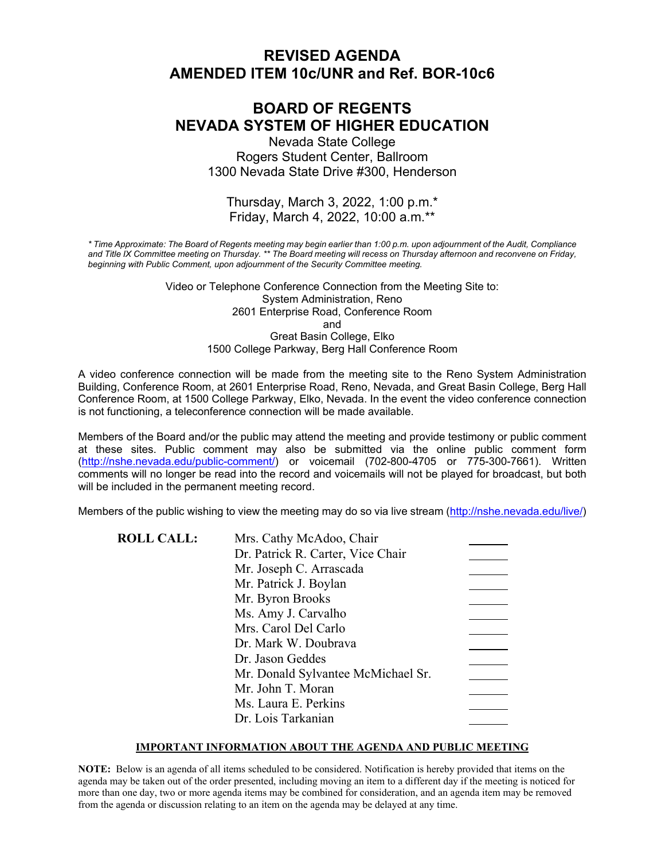# **REVISED AGENDA AMENDED ITEM 10c/UNR and Ref. BOR-10c6**

# **BOARD OF REGENTS NEVADA SYSTEM OF HIGHER EDUCATION**

Nevada State College Rogers Student Center, Ballroom 1300 Nevada State Drive #300, Henderson

### Thursday, March 3, 2022, 1:00 p.m.\* Friday, March 4, 2022, 10:00 a.m.\*\*

*\* Time Approximate: The Board of Regents meeting may begin earlier than 1:00 p.m. upon adjournment of the Audit, Compliance and Title IX Committee meeting on Thursday. \*\* The Board meeting will recess on Thursday afternoon and reconvene on Friday, beginning with Public Comment, upon adjournment of the Security Committee meeting.*

> Video or Telephone Conference Connection from the Meeting Site to: System Administration, Reno 2601 Enterprise Road, Conference Room and Great Basin College, Elko 1500 College Parkway, Berg Hall Conference Room

A video conference connection will be made from the meeting site to the Reno System Administration Building, Conference Room, at 2601 Enterprise Road, Reno, Nevada, and Great Basin College, Berg Hall Conference Room, at 1500 College Parkway, Elko, Nevada. In the event the video conference connection is not functioning, a teleconference connection will be made available.

Members of the Board and/or the public may attend the meeting and provide testimony or public comment at these sites. Public comment may also be submitted via the online public comment form [\(http://nshe.nevada.edu/public-comment/\)](http://nshe.nevada.edu/public-comment/) or voicemail (702-800-4705 or 775-300-7661). Written comments will no longer be read into the record and voicemails will not be played for broadcast, but both will be included in the permanent meeting record.

Members of the public wishing to view the meeting may do so via live stream [\(http://nshe.nevada.edu/live/\)](http://nshe.nevada.edu/live/)

| <b>ROLL CALL:</b> | Mrs. Cathy McAdoo, Chair           |  |
|-------------------|------------------------------------|--|
|                   | Dr. Patrick R. Carter, Vice Chair  |  |
|                   | Mr. Joseph C. Arrascada            |  |
|                   | Mr. Patrick J. Boylan              |  |
|                   | Mr. Byron Brooks                   |  |
|                   | Ms. Amy J. Carvalho                |  |
|                   | Mrs. Carol Del Carlo               |  |
|                   | Dr. Mark W. Doubrava               |  |
|                   | Dr. Jason Geddes                   |  |
|                   | Mr. Donald Sylvantee McMichael Sr. |  |
|                   | Mr. John T. Moran                  |  |
|                   | Ms. Laura E. Perkins               |  |
|                   | Dr. Lois Tarkanian                 |  |

#### **IMPORTANT INFORMATION ABOUT THE AGENDA AND PUBLIC MEETING**

**NOTE:** Below is an agenda of all items scheduled to be considered. Notification is hereby provided that items on the agenda may be taken out of the order presented, including moving an item to a different day if the meeting is noticed for more than one day, two or more agenda items may be combined for consideration, and an agenda item may be removed from the agenda or discussion relating to an item on the agenda may be delayed at any time.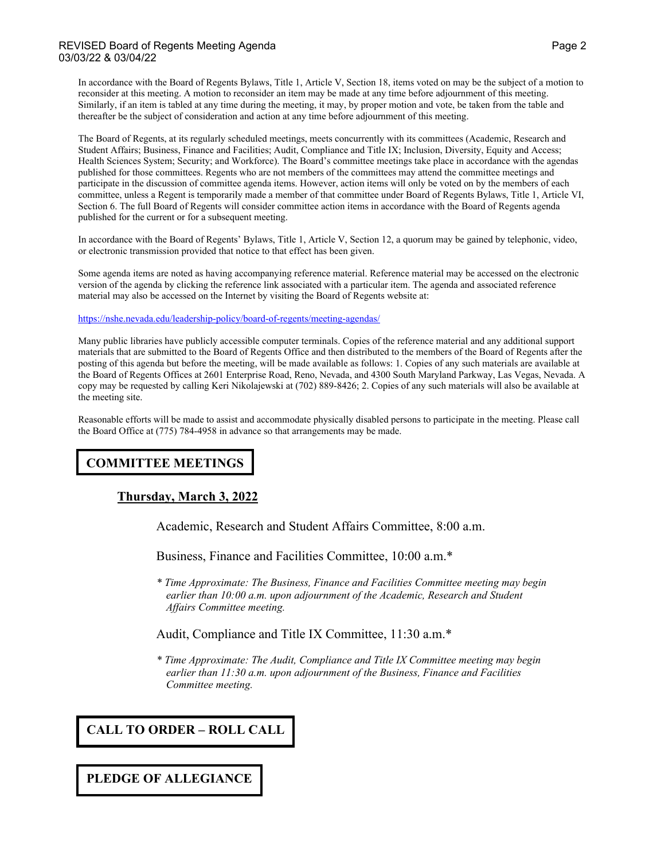#### REVISED Board of Regents Meeting Agenda Page 2 and 2 and 2 and 2 and 2 and 2 and 2 and 2 and 2 and 2 and 2 and 2 and 2 and 2 and 2 and 2 and 2 and 2 and 2 and 2 and 2 and 2 and 2 and 2 and 2 and 2 and 2 and 2 and 2 and 2 a 03/03/22 & 03/04/22

In accordance with the Board of Regents Bylaws, Title 1, Article V, Section 18, items voted on may be the subject of a motion to reconsider at this meeting. A motion to reconsider an item may be made at any time before adjournment of this meeting. Similarly, if an item is tabled at any time during the meeting, it may, by proper motion and vote, be taken from the table and thereafter be the subject of consideration and action at any time before adjournment of this meeting.

The Board of Regents, at its regularly scheduled meetings, meets concurrently with its committees (Academic, Research and Student Affairs; Business, Finance and Facilities; Audit, Compliance and Title IX; Inclusion, Diversity, Equity and Access; Health Sciences System; Security; and Workforce). The Board's committee meetings take place in accordance with the agendas published for those committees. Regents who are not members of the committees may attend the committee meetings and participate in the discussion of committee agenda items. However, action items will only be voted on by the members of each committee, unless a Regent is temporarily made a member of that committee under Board of Regents Bylaws, Title 1, Article VI, Section 6. The full Board of Regents will consider committee action items in accordance with the Board of Regents agenda published for the current or for a subsequent meeting.

In accordance with the Board of Regents' Bylaws, Title 1, Article V, Section 12, a quorum may be gained by telephonic, video, or electronic transmission provided that notice to that effect has been given.

Some agenda items are noted as having accompanying reference material. Reference material may be accessed on the electronic version of the agenda by clicking the reference link associated with a particular item. The agenda and associated reference material may also be accessed on the Internet by visiting the Board of Regents website at:

#### <https://nshe.nevada.edu/leadership-policy/board-of-regents/meeting-agendas/>

Many public libraries have publicly accessible computer terminals. Copies of the reference material and any additional support materials that are submitted to the Board of Regents Office and then distributed to the members of the Board of Regents after the posting of this agenda but before the meeting, will be made available as follows: 1. Copies of any such materials are available at the Board of Regents Offices at 2601 Enterprise Road, Reno, Nevada, and 4300 South Maryland Parkway, Las Vegas, Nevada. A copy may be requested by calling Keri Nikolajewski at (702) 889-8426; 2. Copies of any such materials will also be available at the meeting site.

Reasonable efforts will be made to assist and accommodate physically disabled persons to participate in the meeting. Please call the Board Office at (775) 784-4958 in advance so that arrangements may be made.

# **COMMITTEE MEETINGS**

### **Thursday, March 3, 2022**

Academic, Research and Student Affairs Committee, 8:00 a.m.

Business, Finance and Facilities Committee, 10:00 a.m.\*

*\* Time Approximate: The Business, Finance and Facilities Committee meeting may begin earlier than 10:00 a.m. upon adjournment of the Academic, Research and Student Affairs Committee meeting.*

#### Audit, Compliance and Title IX Committee, 11:30 a.m.\*

*\* Time Approximate: The Audit, Compliance and Title IX Committee meeting may begin earlier than 11:30 a.m. upon adjournment of the Business, Finance and Facilities Committee meeting.*

## **CALL TO ORDER – ROLL CALL**

**PLEDGE OF ALLEGIANCE**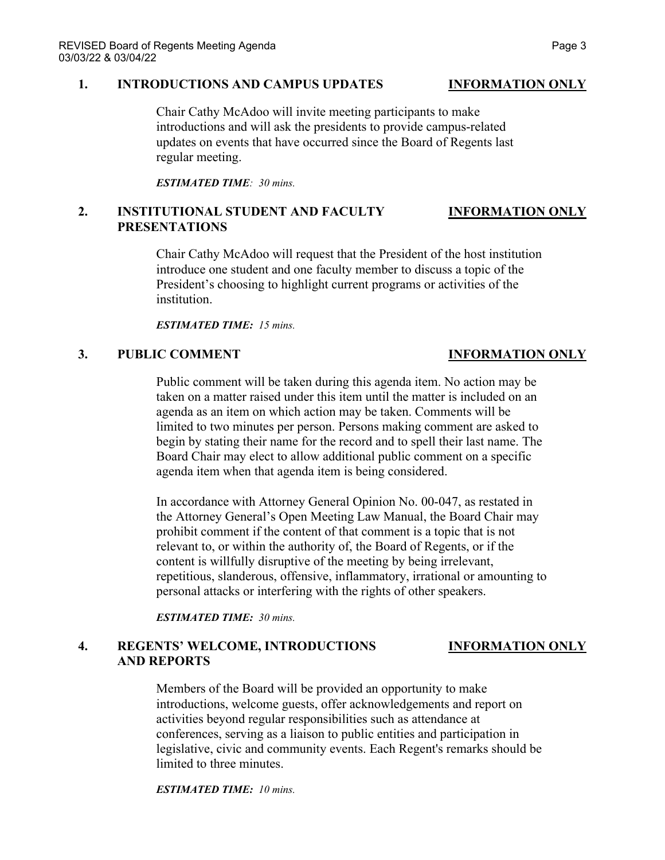#### **1. INTRODUCTIONS AND CAMPUS UPDATES INFORMATION ONLY**

Chair Cathy McAdoo will invite meeting participants to make introductions and will ask the presidents to provide campus-related updates on events that have occurred since the Board of Regents last regular meeting.

*ESTIMATED TIME: 30 mins.*

### **2. INSTITUTIONAL STUDENT AND FACULTY INFORMATION ONLY PRESENTATIONS**

Chair Cathy McAdoo will request that the President of the host institution introduce one student and one faculty member to discuss a topic of the President's choosing to highlight current programs or activities of the institution.

*ESTIMATED TIME: 15 mins.*

### **3. PUBLIC COMMENT INFORMATION ONLY**

Public comment will be taken during this agenda item. No action may be taken on a matter raised under this item until the matter is included on an agenda as an item on which action may be taken. Comments will be limited to two minutes per person. Persons making comment are asked to begin by stating their name for the record and to spell their last name. The Board Chair may elect to allow additional public comment on a specific agenda item when that agenda item is being considered.

In accordance with Attorney General Opinion No. 00-047, as restated in the Attorney General's Open Meeting Law Manual, the Board Chair may prohibit comment if the content of that comment is a topic that is not relevant to, or within the authority of, the Board of Regents, or if the content is willfully disruptive of the meeting by being irrelevant, repetitious, slanderous, offensive, inflammatory, irrational or amounting to personal attacks or interfering with the rights of other speakers.

*ESTIMATED TIME: 30 mins.*

### **4. REGENTS' WELCOME, INTRODUCTIONS INFORMATION ONLY AND REPORTS**

Members of the Board will be provided an opportunity to make introductions, welcome guests, offer acknowledgements and report on activities beyond regular responsibilities such as attendance at conferences, serving as a liaison to public entities and participation in legislative, civic and community events. Each Regent's remarks should be limited to three minutes.

*ESTIMATED TIME: 10 mins.*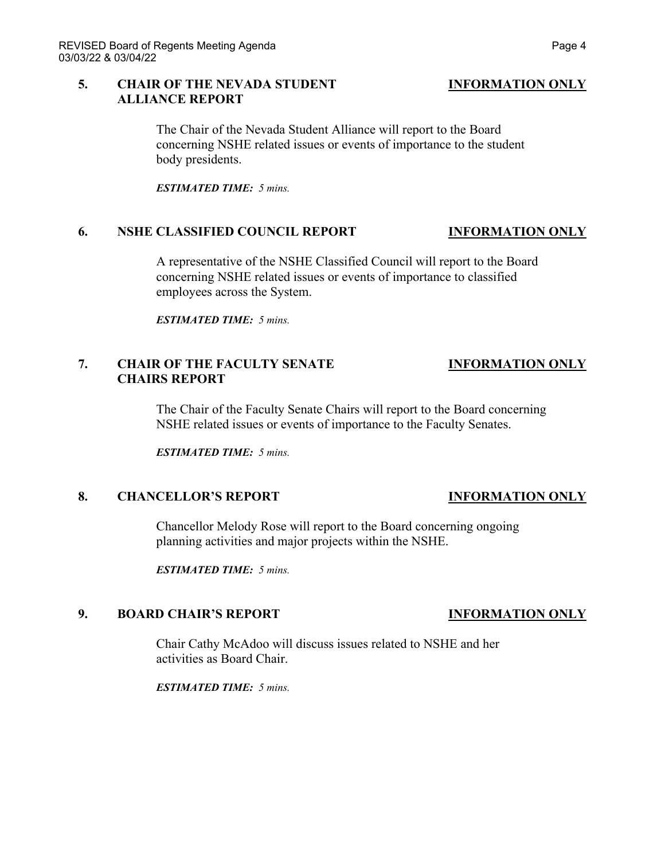### **5. CHAIR OF THE NEVADA STUDENT INFORMATION ONLY ALLIANCE REPORT**

The Chair of the Nevada Student Alliance will report to the Board concerning NSHE related issues or events of importance to the student body presidents.

*ESTIMATED TIME: 5 mins.*

### **6. NSHE CLASSIFIED COUNCIL REPORT INFORMATION ONLY**

A representative of the NSHE Classified Council will report to the Board concerning NSHE related issues or events of importance to classified employees across the System.

*ESTIMATED TIME: 5 mins.*

## **7. CHAIR OF THE FACULTY SENATE INFORMATION ONLY CHAIRS REPORT**

The Chair of the Faculty Senate Chairs will report to the Board concerning NSHE related issues or events of importance to the Faculty Senates.

*ESTIMATED TIME: 5 mins.*

### **8. CHANCELLOR'S REPORT INFORMATION ONLY**

Chancellor Melody Rose will report to the Board concerning ongoing planning activities and major projects within the NSHE.

*ESTIMATED TIME: 5 mins.*

### **9. BOARD CHAIR'S REPORT INFORMATION ONLY**

Chair Cathy McAdoo will discuss issues related to NSHE and her activities as Board Chair.

*ESTIMATED TIME: 5 mins.*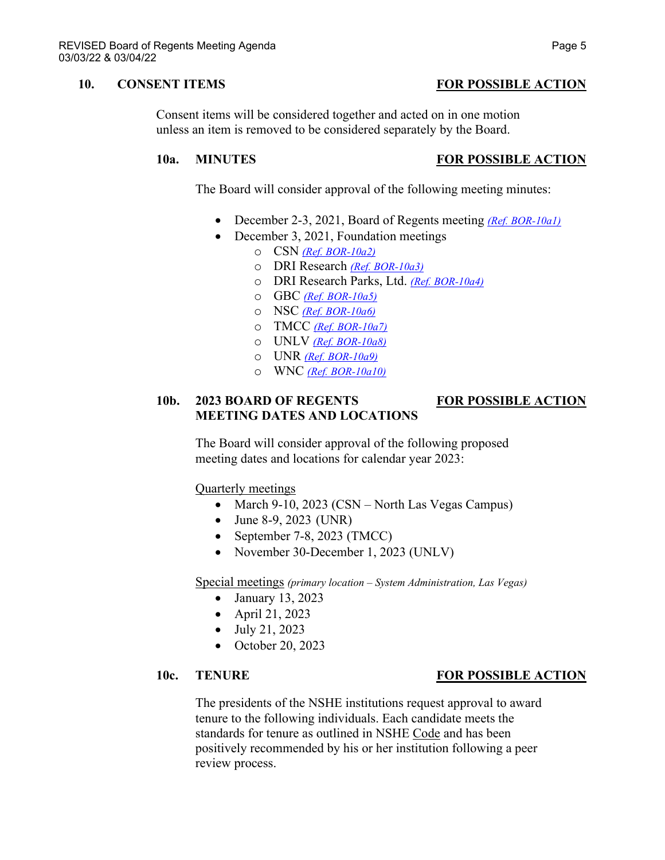### **10. CONSENT ITEMS FOR POSSIBLE ACTION**

Consent items will be considered together and acted on in one motion unless an item is removed to be considered separately by the Board.

### **10a. MINUTES FOR POSSIBLE ACTION**

The Board will consider approval of the following meeting minutes:

- December 2-3, 2021, Board of Regents meeting *[\(Ref. BOR-10a1\)](https://nshe.nevada.edu/wp-content/uploads/file/BoardOfRegents/Agendas/2022/03-mar-mtgs/bor-refs/BOR-10a1.pdf)*
- December 3, 2021, Foundation meetings
	- o CSN *[\(Ref. BOR-10a2\)](https://nshe.nevada.edu/wp-content/uploads/file/BoardOfRegents/Agendas/2022/03-mar-mtgs/bor-refs/BOR-10a2.pdf)*
	- o DRI Research *[\(Ref. BOR-10a3\)](https://nshe.nevada.edu/wp-content/uploads/file/BoardOfRegents/Agendas/2022/03-mar-mtgs/bor-refs/BOR-10a3.pdf)*
	- o DRI Research Parks, Ltd. *[\(Ref. BOR-10a4\)](https://nshe.nevada.edu/wp-content/uploads/file/BoardOfRegents/Agendas/2022/03-mar-mtgs/bor-refs/BOR-10a4.pdf)*
	- o GBC *[\(Ref. BOR-10a5\)](https://nshe.nevada.edu/wp-content/uploads/file/BoardOfRegents/Agendas/2022/03-mar-mtgs/bor-refs/BOR-10a5.pdf)*
	- o NSC *[\(Ref. BOR-10a6\)](https://nshe.nevada.edu/wp-content/uploads/file/BoardOfRegents/Agendas/2022/03-mar-mtgs/bor-refs/BOR-10a6.pdf)*
	- o TMCC *[\(Ref. BOR-10a7\)](https://nshe.nevada.edu/wp-content/uploads/file/BoardOfRegents/Agendas/2022/03-mar-mtgs/bor-refs/BOR-10a7.pdf)*
	- o UNLV *[\(Ref. BOR-10a8\)](https://nshe.nevada.edu/wp-content/uploads/file/BoardOfRegents/Agendas/2022/03-mar-mtgs/bor-refs/BOR-10a8.pdf)*
	- o UNR *[\(Ref. BOR-10a9\)](https://nshe.nevada.edu/wp-content/uploads/file/BoardOfRegents/Agendas/2022/03-mar-mtgs/bor-refs/BOR-10a9.pdf)*
	- o WNC *[\(Ref. BOR-10a10\)](https://nshe.nevada.edu/wp-content/uploads/file/BoardOfRegents/Agendas/2022/03-mar-mtgs/bor-refs/BOR-10a10.pdf)*

## **10b. 2023 BOARD OF REGENTS FOR POSSIBLE ACTION MEETING DATES AND LOCATIONS**

The Board will consider approval of the following proposed meeting dates and locations for calendar year 2023:

Quarterly meetings

- March 9-10, 2023 (CSN North Las Vegas Campus)
- June 8-9, 2023 (UNR)
- September 7-8, 2023 (TMCC)
- November 30-December 1, 2023 (UNLV)

Special meetings *(primary location – System Administration, Las Vegas)*

- January 13, 2023
- April 21, 2023
- July 21, 2023
- October 20, 2023

### **10c. TENURE FOR POSSIBLE ACTION**

The presidents of the NSHE institutions request approval to award tenure to the following individuals. Each candidate meets the standards for tenure as outlined in NSHE Code and has been positively recommended by his or her institution following a peer review process.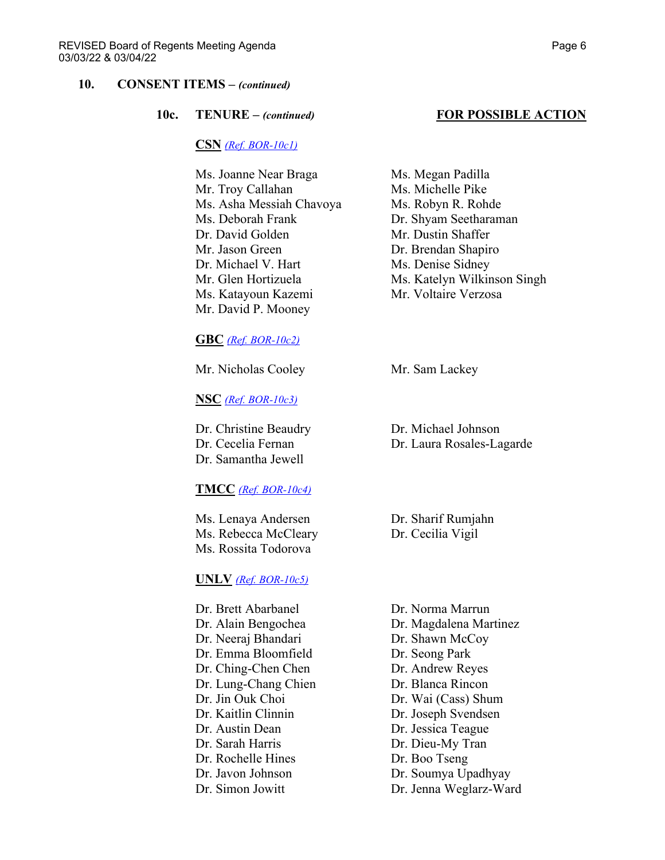#### **10c. TENURE –** *(continued)* **FOR POSSIBLE ACTION**

#### **CSN** *[\(Ref. BOR-10c1\)](https://nshe.nevada.edu/wp-content/uploads/file/BoardOfRegents/Agendas/2022/03-mar-mtgs/bor-refs/BOR-10c1.pdf)*

Ms. Joanne Near Braga Ms. Megan Padilla Mr. Troy Callahan Ms. Michelle Pike Ms. Asha Messiah Chavoya Ms. Robyn R. Rohde Ms. Deborah Frank Dr. Shyam Seetharaman Dr. David Golden Mr. Dustin Shaffer Mr. Jason Green Dr. Brendan Shapiro Dr. Michael V. Hart Ms. Denise Sidney Ms. Katayoun Kazemi Mr. Voltaire Verzosa Mr. David P. Mooney

#### **GBC** *[\(Ref. BOR-10c2\)](https://nshe.nevada.edu/wp-content/uploads/file/BoardOfRegents/Agendas/2022/03-mar-mtgs/bor-refs/BOR-10c2.pdf)*

Mr. Nicholas Cooley Mr. Sam Lackey

**NSC** *[\(Ref. BOR-10c3\)](https://nshe.nevada.edu/wp-content/uploads/file/BoardOfRegents/Agendas/2022/03-mar-mtgs/bor-refs/BOR-10c3.pdf)*

Dr. Christine Beaudry Dr. Michael Johnson Dr. Samantha Jewell

#### **TMCC** *[\(Ref. BOR-10c4\)](https://nshe.nevada.edu/wp-content/uploads/file/BoardOfRegents/Agendas/2022/03-mar-mtgs/bor-refs/BOR-10c4.pdf)*

Ms. Lenaya Andersen Dr. Sharif Rumjahn Ms. Rebecca McCleary Dr. Cecilia Vigil Ms. Rossita Todorova

#### **UNLV** *[\(Ref. BOR-10c5\)](https://nshe.nevada.edu/wp-content/uploads/file/BoardOfRegents/Agendas/2022/03-mar-mtgs/bor-refs/BOR-10c5.pdf)*

Dr. Brett Abarbanel Dr. Norma Marrun Dr. Neeraj Bhandari Dr. Shawn McCoy Dr. Emma Bloomfield Dr. Seong Park Dr. Ching-Chen Chen Dr. Andrew Reyes Dr. Lung-Chang Chien Dr. Blanca Rincon Dr. Jin Ouk Choi Dr. Wai (Cass) Shum Dr. Kaitlin Clinnin Dr. Joseph Svendsen Dr. Austin Dean Dr. Jessica Teague Dr. Sarah Harris Dr. Dieu-My Tran Dr. Rochelle Hines Dr. Boo Tseng Dr. Javon Johnson Dr. Soumya Upadhyay Dr. Simon Jowitt Dr. Jenna Weglarz-Ward

Mr. Glen Hortizuela Ms. Katelyn Wilkinson Singh

Dr. Cecelia Fernan Dr. Laura Rosales-Lagarde

Dr. Alain Bengochea Dr. Magdalena Martinez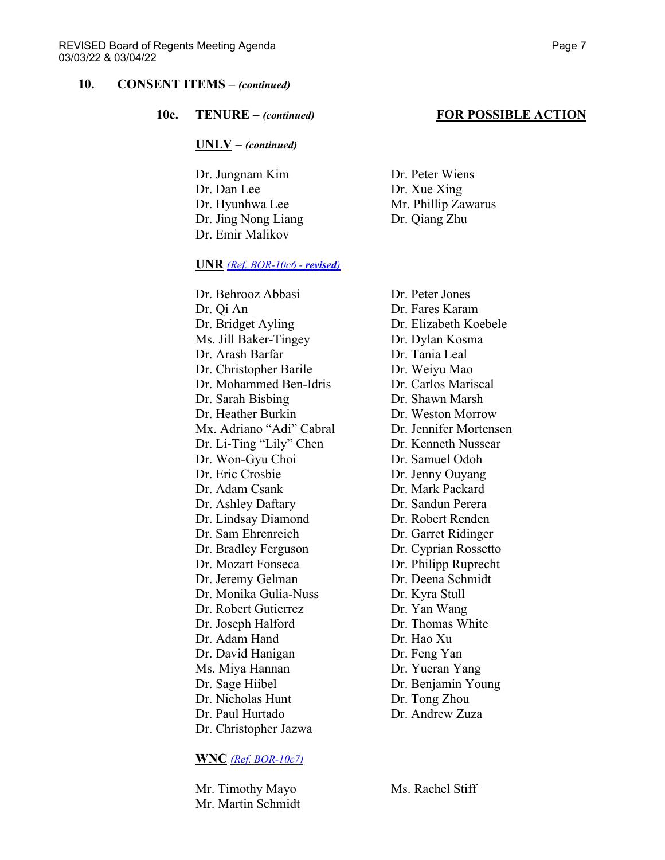**10c. TENURE –** *(continued)* **FOR POSSIBLE ACTION**

**UNLV** – *(continued)*

Dr. Jungnam Kim Dr. Peter Wiens Dr. Dan Lee Dr. Xue Xing Dr. Hyunhwa Lee Mr. Phillip Zawarus Dr. Jing Nong Liang Dr. Qiang Zhu Dr. Emir Malikov

#### **UNR** *[\(Ref. BOR-10c6](https://nshe.nevada.edu/wp-content/uploads/file/BoardOfRegents/Agendas/2022/03-mar-mtgs/bor-revrefs/BOR-10c6rev.pdf) - revised)*

Dr. Behrooz Abbasi Dr. Peter Jones Dr. Qi An Dr. Fares Karam Dr. Bridget Ayling Dr. Elizabeth Koebele Ms. Jill Baker-Tingey Dr. Dylan Kosma Dr. Arash Barfar Dr. Tania Leal Dr. Christopher Barile Dr. Weiyu Mao Dr. Mohammed Ben-Idris Dr. Carlos Mariscal Dr. Sarah Bisbing Dr. Shawn Marsh Dr. Heather Burkin Dr. Weston Morrow Mx. Adriano "Adi" Cabral Dr. Jennifer Mortensen Dr. Li-Ting "Lily" Chen Dr. Kenneth Nussear Dr. Won-Gyu Choi Dr. Samuel Odoh Dr. Eric Crosbie Dr. Jenny Ouyang Dr. Adam Csank Dr. Mark Packard Dr. Ashley Daftary Dr. Sandun Perera Dr. Lindsay Diamond Dr. Robert Renden Dr. Sam Ehrenreich Dr. Garret Ridinger Dr. Bradley Ferguson Dr. Cyprian Rossetto Dr. Mozart Fonseca Dr. Philipp Ruprecht Dr. Jeremy Gelman Dr. Deena Schmidt Dr. Monika Gulia-Nuss Dr. Kyra Stull Dr. Robert Gutierrez Dr. Yan Wang<br>
Dr. Joseph Halford Dr. Thomas White Dr. Joseph Halford Dr. Adam Hand Dr. Hao Xu Dr. David Hanigan Dr. Feng Yan Ms. Miya Hannan Dr. Yueran Yang Dr. Sage Hiibel Dr. Benjamin Young Dr. Nicholas Hunt Dr. Tong Zhou Dr. Paul Hurtado Dr. Andrew Zuza Dr. Christopher Jazwa

#### **WNC** *[\(Ref. BOR-10c7\)](https://nshe.nevada.edu/wp-content/uploads/file/BoardOfRegents/Agendas/2022/03-mar-mtgs/bor-refs/BOR-10c7.pdf)*

Mr. Timothy Mayo Ms. Rachel Stiff Mr. Martin Schmidt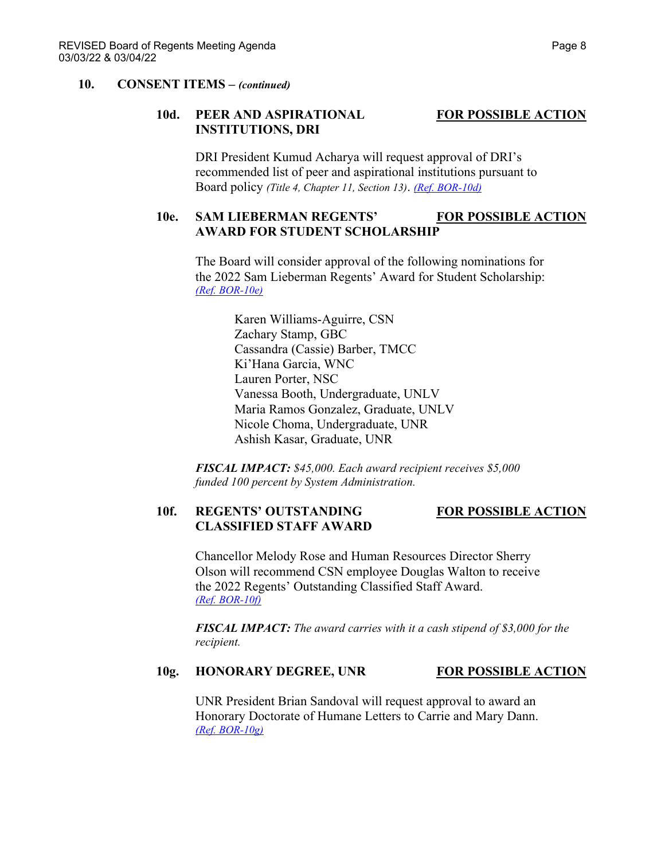### **10d. PEER AND ASPIRATIONAL FOR POSSIBLE ACTION INSTITUTIONS, DRI**

DRI President Kumud Acharya will request approval of DRI's recommended list of peer and aspirational institutions pursuant to Board policy *(Title 4, Chapter 11, Section 13)*. *[\(Ref. BOR-10d\)](https://nshe.nevada.edu/wp-content/uploads/file/BoardOfRegents/Agendas/2022/03-mar-mtgs/bor-refs/BOR-10d.pdf)*

## 10e. SAM LIEBERMAN REGENTS' FOR POSSIBLE ACTION **AWARD FOR STUDENT SCHOLARSHIP**

The Board will consider approval of the following nominations for the 2022 Sam Lieberman Regents' Award for Student Scholarship: *[\(Ref. BOR-10e\)](https://nshe.nevada.edu/wp-content/uploads/file/BoardOfRegents/Agendas/2022/03-mar-mtgs/bor-refs/BOR-10e.pdf)*

> Karen Williams-Aguirre, CSN Zachary Stamp, GBC Cassandra (Cassie) Barber, TMCC Ki'Hana Garcia, WNC Lauren Porter, NSC Vanessa Booth, Undergraduate, UNLV Maria Ramos Gonzalez, Graduate, UNLV Nicole Choma, Undergraduate, UNR Ashish Kasar, Graduate, UNR

*FISCAL IMPACT: \$45,000. Each award recipient receives \$5,000 funded 100 percent by System Administration.*

### **10f. REGENTS' OUTSTANDING FOR POSSIBLE ACTION CLASSIFIED STAFF AWARD**

Chancellor Melody Rose and Human Resources Director Sherry Olson will recommend CSN employee Douglas Walton to receive the 2022 Regents' Outstanding Classified Staff Award. *[\(Ref. BOR-10f\)](https://nshe.nevada.edu/wp-content/uploads/file/BoardOfRegents/Agendas/2022/03-mar-mtgs/bor-refs/BOR-10f.pdf)*

*FISCAL IMPACT: The award carries with it a cash stipend of \$3,000 for the recipient.*

### **10g. HONORARY DEGREE, UNR FOR POSSIBLE ACTION**

UNR President Brian Sandoval will request approval to award an Honorary Doctorate of Humane Letters to Carrie and Mary Dann. *[\(Ref. BOR-10g\)](https://nshe.nevada.edu/wp-content/uploads/file/BoardOfRegents/Agendas/2022/03-mar-mtgs/bor-refs/BOR-10g.pdf)*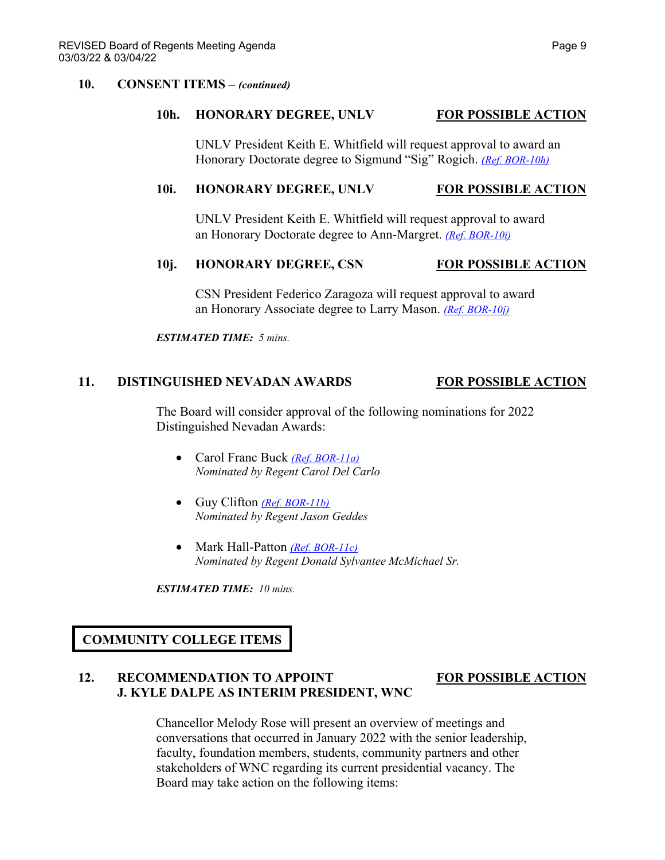#### **10h. HONORARY DEGREE, UNLV FOR POSSIBLE ACTION**

UNLV President Keith E. Whitfield will request approval to award an Honorary Doctorate degree to Sigmund "Sig" Rogich. *[\(Ref. BOR-10h\)](https://nshe.nevada.edu/wp-content/uploads/file/BoardOfRegents/Agendas/2022/03-mar-mtgs/bor-refs/BOR-10h.pdf)*

#### 10i. **HONORARY DEGREE, UNLV FOR POSSIBLE ACTION**

UNLV President Keith E. Whitfield will request approval to award an Honorary Doctorate degree to Ann-Margret. *[\(Ref. BOR-10i\)](https://nshe.nevada.edu/wp-content/uploads/file/BoardOfRegents/Agendas/2022/03-mar-mtgs/bor-refs/BOR-10i.pdf)*

#### **10j. HONORARY DEGREE, CSN FOR POSSIBLE ACTION**

CSN President Federico Zaragoza will request approval to award an Honorary Associate degree to Larry Mason. *[\(Ref. BOR-10j\)](https://nshe.nevada.edu/wp-content/uploads/file/BoardOfRegents/Agendas/2022/03-mar-mtgs/bor-refs/BOR-10j.pdf)*

*ESTIMATED TIME: 5 mins.*

#### **11. DISTINGUISHED NEVADAN AWARDS FOR POSSIBLE ACTION**

The Board will consider approval of the following nominations for 2022 Distinguished Nevadan Awards:

- Carol Franc Buck *[\(Ref. BOR-11a\)](https://nshe.nevada.edu/wp-content/uploads/file/BoardOfRegents/Agendas/2022/03-mar-mtgs/bor-refs/BOR-11a.pdf) Nominated by Regent Carol Del Carlo*
- Guy Clifton *[\(Ref. BOR-11b\)](https://nshe.nevada.edu/wp-content/uploads/file/BoardOfRegents/Agendas/2022/03-mar-mtgs/bor-refs/BOR-11b.pdf) Nominated by Regent Jason Geddes*
- Mark Hall-Patton *[\(Ref. BOR-11c\)](https://nshe.nevada.edu/wp-content/uploads/file/BoardOfRegents/Agendas/2022/03-mar-mtgs/bor-refs/BOR-11c.pdf) Nominated by Regent Donald Sylvantee McMichael Sr.*

*ESTIMATED TIME: 10 mins.*

## **COMMUNITY COLLEGE ITEMS**

### **12. RECOMMENDATION TO APPOINT FOR POSSIBLE ACTION J. KYLE DALPE AS INTERIM PRESIDENT, WNC**

Chancellor Melody Rose will present an overview of meetings and conversations that occurred in January 2022 with the senior leadership, faculty, foundation members, students, community partners and other stakeholders of WNC regarding its current presidential vacancy. The Board may take action on the following items: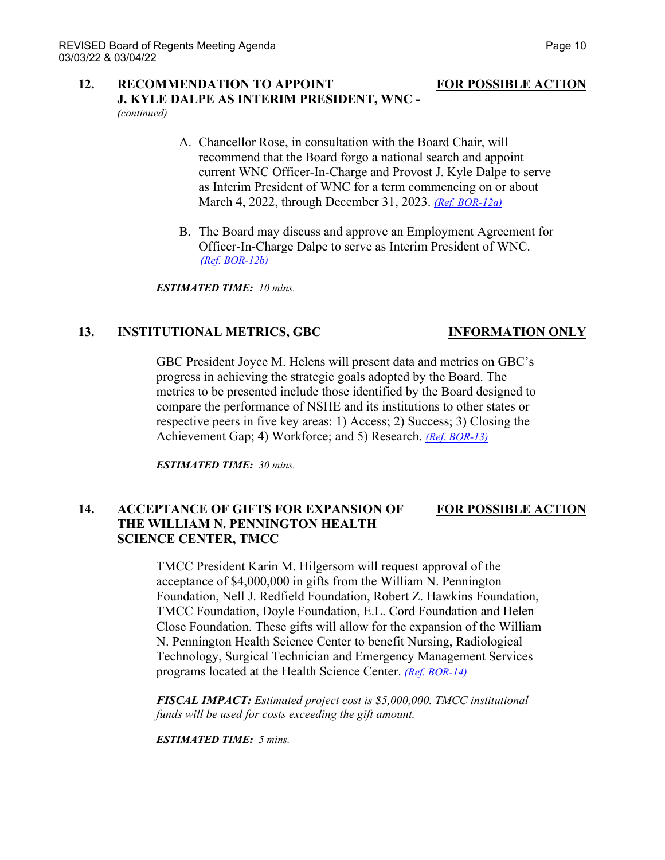# **12. RECOMMENDATION TO APPOINT FOR POSSIBLE ACTION J. KYLE DALPE AS INTERIM PRESIDENT, WNC -**

*(continued)*

- A. Chancellor Rose, in consultation with the Board Chair, will recommend that the Board forgo a national search and appoint current WNC Officer-In-Charge and Provost J. Kyle Dalpe to serve as Interim President of WNC for a term commencing on or about March 4, 2022, through December 31, 2023. *[\(Ref. BOR-12a\)](https://nshe.nevada.edu/wp-content/uploads/file/BoardOfRegents/Agendas/2022/03-mar-mtgs/bor-refs/BOR-12a.pdf)*
- B. The Board may discuss and approve an Employment Agreement for Officer-In-Charge Dalpe to serve as Interim President of WNC. *[\(Ref. BOR-12b\)](https://nshe.nevada.edu/wp-content/uploads/file/BoardOfRegents/Agendas/2022/03-mar-mtgs/bor-refs/BOR-12b.pdf)*

*ESTIMATED TIME: 10 mins.*

### **13. INSTITUTIONAL METRICS, GBC INFORMATION ONLY**

GBC President Joyce M. Helens will present data and metrics on GBC's progress in achieving the strategic goals adopted by the Board. The metrics to be presented include those identified by the Board designed to compare the performance of NSHE and its institutions to other states or respective peers in five key areas: 1) Access; 2) Success; 3) Closing the Achievement Gap; 4) Workforce; and 5) Research. *[\(Ref. BOR-13\)](https://nshe.nevada.edu/wp-content/uploads/file/BoardOfRegents/Agendas/2022/03-mar-mtgs/bor-refs/BOR-13.pdf)*

*ESTIMATED TIME: 30 mins.*

### **14. ACCEPTANCE OF GIFTS FOR EXPANSION OF FOR POSSIBLE ACTION THE WILLIAM N. PENNINGTON HEALTH SCIENCE CENTER, TMCC**

TMCC President Karin M. Hilgersom will request approval of the acceptance of \$4,000,000 in gifts from the William N. Pennington Foundation, Nell J. Redfield Foundation, Robert Z. Hawkins Foundation, TMCC Foundation, Doyle Foundation, E.L. Cord Foundation and Helen Close Foundation. These gifts will allow for the expansion of the William N. Pennington Health Science Center to benefit Nursing, Radiological Technology, Surgical Technician and Emergency Management Services programs located at the Health Science Center. *[\(Ref. BOR-14\)](https://nshe.nevada.edu/wp-content/uploads/file/BoardOfRegents/Agendas/2022/03-mar-mtgs/bor-refs/BOR-14.pdf)*

*FISCAL IMPACT: Estimated project cost is \$5,000,000. TMCC institutional funds will be used for costs exceeding the gift amount.*

*ESTIMATED TIME: 5 mins.*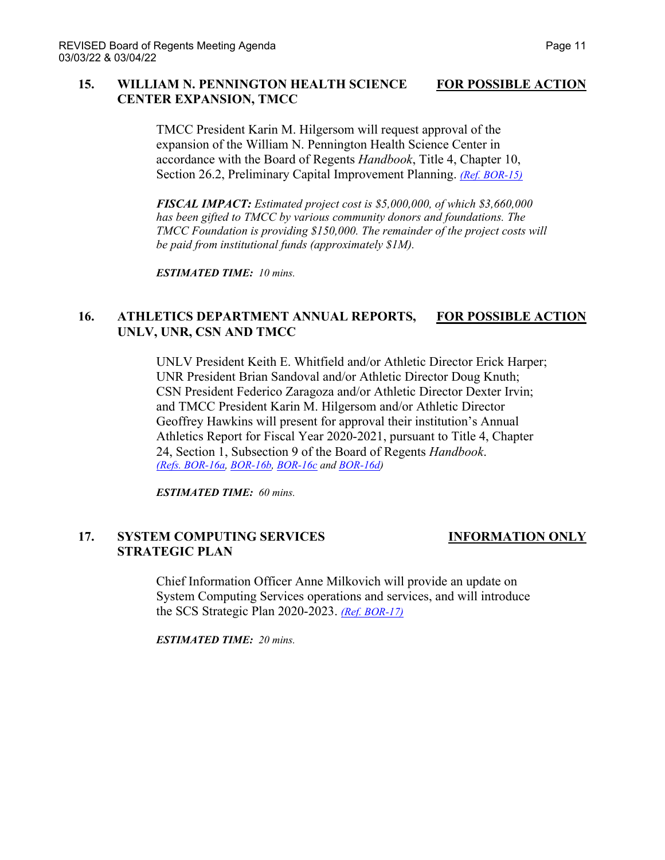### **15. WILLIAM N. PENNINGTON HEALTH SCIENCE FOR POSSIBLE ACTION CENTER EXPANSION, TMCC**

TMCC President Karin M. Hilgersom will request approval of the expansion of the William N. Pennington Health Science Center in accordance with the Board of Regents *Handbook*, Title 4, Chapter 10, Section 26.2, Preliminary Capital Improvement Planning. *[\(Ref. BOR-15\)](https://nshe.nevada.edu/wp-content/uploads/file/BoardOfRegents/Agendas/2022/03-mar-mtgs/bor-refs/BOR-15.pdf)*

*FISCAL IMPACT: Estimated project cost is \$5,000,000, of which \$3,660,000 has been gifted to TMCC by various community donors and foundations. The TMCC Foundation is providing \$150,000. The remainder of the project costs will be paid from institutional funds (approximately \$1M).* 

*ESTIMATED TIME: 10 mins.*

## **16. ATHLETICS DEPARTMENT ANNUAL REPORTS, FOR POSSIBLE ACTION UNLV, UNR, CSN AND TMCC**

UNLV President Keith E. Whitfield and/or Athletic Director Erick Harper; UNR President Brian Sandoval and/or Athletic Director Doug Knuth; CSN President Federico Zaragoza and/or Athletic Director Dexter Irvin; and TMCC President Karin M. Hilgersom and/or Athletic Director Geoffrey Hawkins will present for approval their institution's Annual Athletics Report for Fiscal Year 2020-2021, pursuant to Title 4, Chapter 24, Section 1, Subsection 9 of the Board of Regents *Handbook*. *[\(Refs. BOR-16a,](https://nshe.nevada.edu/wp-content/uploads/file/BoardOfRegents/Agendas/2022/03-mar-mtgs/bor-refs/BOR-16a.pdf) [BOR-16b,](https://nshe.nevada.edu/wp-content/uploads/file/BoardOfRegents/Agendas/2022/03-mar-mtgs/bor-refs/BOR-16b.pdf) [BOR-16c](https://nshe.nevada.edu/wp-content/uploads/file/BoardOfRegents/Agendas/2022/03-mar-mtgs/bor-refs/BOR-16c.pdf) and [BOR-16d\)](https://nshe.nevada.edu/wp-content/uploads/file/BoardOfRegents/Agendas/2022/03-mar-mtgs/bor-refs/BOR-16d.pdf)*

*ESTIMATED TIME: 60 mins.*

### **17. SYSTEM COMPUTING SERVICES INFORMATION ONLY STRATEGIC PLAN**

Chief Information Officer Anne Milkovich will provide an update on System Computing Services operations and services, and will introduce the SCS Strategic Plan 2020-2023. *[\(Ref. BOR-17\)](https://nshe.nevada.edu/wp-content/uploads/file/BoardOfRegents/Agendas/2022/03-mar-mtgs/bor-refs/BOR-17.pdf)*

*ESTIMATED TIME: 20 mins.*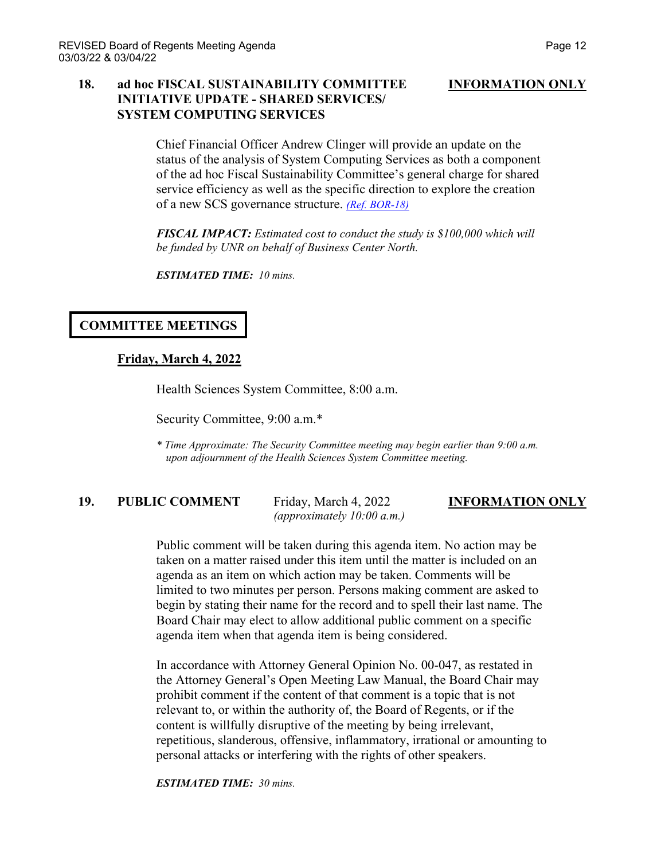### **18. ad hoc FISCAL SUSTAINABILITY COMMITTEE INFORMATION ONLY INITIATIVE UPDATE - SHARED SERVICES/ SYSTEM COMPUTING SERVICES**

Chief Financial Officer Andrew Clinger will provide an update on the status of the analysis of System Computing Services as both a component of the ad hoc Fiscal Sustainability Committee's general charge for shared service efficiency as well as the specific direction to explore the creation of a new SCS governance structure. *[\(Ref. BOR-18\)](https://nshe.nevada.edu/wp-content/uploads/file/BoardOfRegents/Agendas/2022/03-mar-mtgs/bor-refs/BOR-18.pdf)*

*FISCAL IMPACT: Estimated cost to conduct the study is \$100,000 which will be funded by UNR on behalf of Business Center North.*

*ESTIMATED TIME: 10 mins.*

## **COMMITTEE MEETINGS**

### **Friday, March 4, 2022**

Health Sciences System Committee, 8:00 a.m.

Security Committee, 9:00 a.m.\*

*\* Time Approximate: The Security Committee meeting may begin earlier than 9:00 a.m. upon adjournment of the Health Sciences System Committee meeting.*

# **19. PUBLIC COMMENT** Friday, March 4, 2022 **INFORMATION ONLY**

*(approximately 10:00 a.m.)*

Public comment will be taken during this agenda item. No action may be taken on a matter raised under this item until the matter is included on an agenda as an item on which action may be taken. Comments will be limited to two minutes per person. Persons making comment are asked to begin by stating their name for the record and to spell their last name. The Board Chair may elect to allow additional public comment on a specific agenda item when that agenda item is being considered.

In accordance with Attorney General Opinion No. 00-047, as restated in the Attorney General's Open Meeting Law Manual, the Board Chair may prohibit comment if the content of that comment is a topic that is not relevant to, or within the authority of, the Board of Regents, or if the content is willfully disruptive of the meeting by being irrelevant, repetitious, slanderous, offensive, inflammatory, irrational or amounting to personal attacks or interfering with the rights of other speakers.

*ESTIMATED TIME: 30 mins.*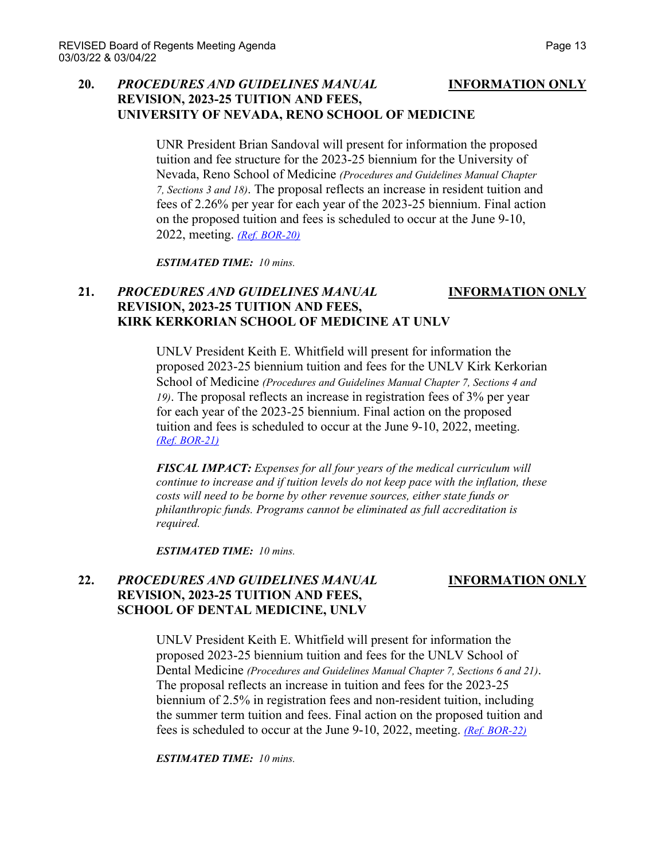## **20.** *PROCEDURES AND GUIDELINES MANUAL* **INFORMATION ONLY REVISION, 2023-25 TUITION AND FEES, UNIVERSITY OF NEVADA, RENO SCHOOL OF MEDICINE**

UNR President Brian Sandoval will present for information the proposed tuition and fee structure for the 2023-25 biennium for the University of Nevada, Reno School of Medicine *(Procedures and Guidelines Manual Chapter 7, Sections 3 and 18)*. The proposal reflects an increase in resident tuition and fees of 2.26% per year for each year of the 2023-25 biennium. Final action on the proposed tuition and fees is scheduled to occur at the June 9-10, 2022, meeting. *[\(Ref. BOR-20\)](https://nshe.nevada.edu/wp-content/uploads/file/BoardOfRegents/Agendas/2022/03-mar-mtgs/bor-refs/BOR-20.pdf)*

*ESTIMATED TIME: 10 mins.*

## **21.** *PROCEDURES AND GUIDELINES MANUAL* **INFORMATION ONLY REVISION, 2023-25 TUITION AND FEES, KIRK KERKORIAN SCHOOL OF MEDICINE AT UNLV**

UNLV President Keith E. Whitfield will present for information the proposed 2023-25 biennium tuition and fees for the UNLV Kirk Kerkorian School of Medicine *(Procedures and Guidelines Manual Chapter 7, Sections 4 and 19)*. The proposal reflects an increase in registration fees of 3% per year for each year of the 2023-25 biennium. Final action on the proposed tuition and fees is scheduled to occur at the June 9-10, 2022, meeting. *[\(Ref. BOR-21\)](https://nshe.nevada.edu/wp-content/uploads/file/BoardOfRegents/Agendas/2022/03-mar-mtgs/bor-refs/BOR-21.pdf)*

*FISCAL IMPACT: Expenses for all four years of the medical curriculum will continue to increase and if tuition levels do not keep pace with the inflation, these costs will need to be borne by other revenue sources, either state funds or philanthropic funds. Programs cannot be eliminated as full accreditation is required.*

*ESTIMATED TIME: 10 mins.*

## **22.** *PROCEDURES AND GUIDELINES MANUAL* **INFORMATION ONLY REVISION, 2023-25 TUITION AND FEES, SCHOOL OF DENTAL MEDICINE, UNLV**

UNLV President Keith E. Whitfield will present for information the proposed 2023-25 biennium tuition and fees for the UNLV School of Dental Medicine *(Procedures and Guidelines Manual Chapter 7, Sections 6 and 21)*. The proposal reflects an increase in tuition and fees for the 2023-25 biennium of 2.5% in registration fees and non-resident tuition, including the summer term tuition and fees. Final action on the proposed tuition and fees is scheduled to occur at the June 9-10, 2022, meeting. *[\(Ref. BOR-22\)](https://nshe.nevada.edu/wp-content/uploads/file/BoardOfRegents/Agendas/2022/03-mar-mtgs/bor-refs/BOR-22.pdf)*

*ESTIMATED TIME: 10 mins.*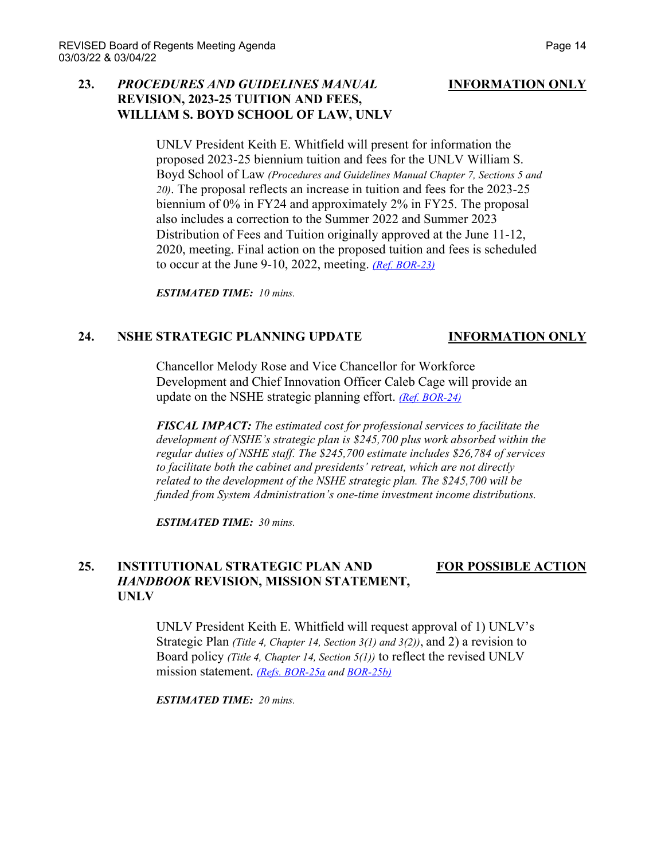### **23.** *PROCEDURES AND GUIDELINES MANUAL* **INFORMATION ONLY REVISION, 2023-25 TUITION AND FEES, WILLIAM S. BOYD SCHOOL OF LAW, UNLV**

UNLV President Keith E. Whitfield will present for information the proposed 2023-25 biennium tuition and fees for the UNLV William S. Boyd School of Law *(Procedures and Guidelines Manual Chapter 7, Sections 5 and 20)*. The proposal reflects an increase in tuition and fees for the 2023-25 biennium of 0% in FY24 and approximately 2% in FY25. The proposal also includes a correction to the Summer 2022 and Summer 2023 Distribution of Fees and Tuition originally approved at the June 11-12, 2020, meeting. Final action on the proposed tuition and fees is scheduled to occur at the June 9-10, 2022, meeting. *[\(Ref. BOR-23\)](https://nshe.nevada.edu/wp-content/uploads/file/BoardOfRegents/Agendas/2022/03-mar-mtgs/bor-refs/BOR-23.pdf)*

*ESTIMATED TIME: 10 mins.*

### **24. NSHE STRATEGIC PLANNING UPDATE INFORMATION ONLY**

Chancellor Melody Rose and Vice Chancellor for Workforce Development and Chief Innovation Officer Caleb Cage will provide an update on the NSHE strategic planning effort. *[\(Ref. BOR-24\)](https://nshe.nevada.edu/wp-content/uploads/file/BoardOfRegents/Agendas/2022/03-mar-mtgs/bor-refs/BOR-24.pdf)*

*FISCAL IMPACT: The estimated cost for professional services to facilitate the development of NSHE's strategic plan is \$245,700 plus work absorbed within the regular duties of NSHE staff. The \$245,700 estimate includes \$26,784 of services to facilitate both the cabinet and presidents' retreat, which are not directly related to the development of the NSHE strategic plan. The \$245,700 will be funded from System Administration's one-time investment income distributions.*

*ESTIMATED TIME: 30 mins.*

## **25. INSTITUTIONAL STRATEGIC PLAN AND FOR POSSIBLE ACTION** *HANDBOOK* **REVISION, MISSION STATEMENT, UNLV**

UNLV President Keith E. Whitfield will request approval of 1) UNLV's Strategic Plan *(Title 4, Chapter 14, Section 3(1) and 3(2))*, and 2) a revision to Board policy *(Title 4, Chapter 14, Section 5(1))* to reflect the revised UNLV mission statement. *[\(Refs. BOR-25a](https://nshe.nevada.edu/wp-content/uploads/file/BoardOfRegents/Agendas/2022/03-mar-mtgs/bor-refs/BOR-25a.pdf) an[d BOR-25b\)](https://nshe.nevada.edu/wp-content/uploads/file/BoardOfRegents/Agendas/2022/03-mar-mtgs/bor-refs/BOR-25b.pdf)*

*ESTIMATED TIME: 20 mins.*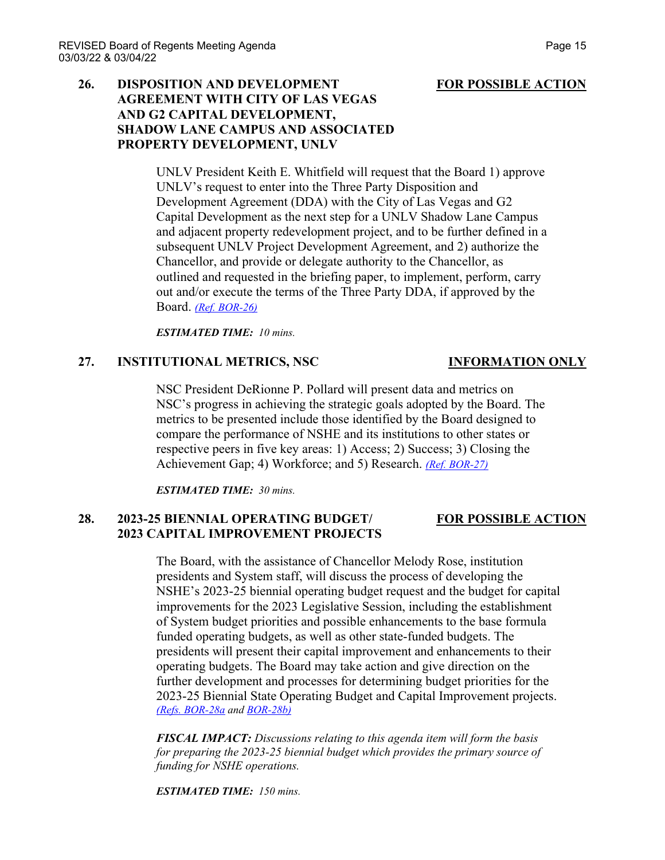## **26. DISPOSITION AND DEVELOPMENT FOR POSSIBLE ACTION AGREEMENT WITH CITY OF LAS VEGAS AND G2 CAPITAL DEVELOPMENT, SHADOW LANE CAMPUS AND ASSOCIATED PROPERTY DEVELOPMENT, UNLV**

UNLV President Keith E. Whitfield will request that the Board 1) approve UNLV's request to enter into the Three Party Disposition and Development Agreement (DDA) with the City of Las Vegas and G2 Capital Development as the next step for a UNLV Shadow Lane Campus and adjacent property redevelopment project, and to be further defined in a subsequent UNLV Project Development Agreement, and 2) authorize the Chancellor, and provide or delegate authority to the Chancellor, as outlined and requested in the briefing paper, to implement, perform, carry out and/or execute the terms of the Three Party DDA, if approved by the Board. *[\(Ref. BOR-26\)](https://nshe.nevada.edu/wp-content/uploads/file/BoardOfRegents/Agendas/2022/03-mar-mtgs/bor-refs/BOR-26.pdf)*

*ESTIMATED TIME: 10 mins.*

### **27. INSTITUTIONAL METRICS, NSC INFORMATION ONLY**

## NSC President DeRionne P. Pollard will present data and metrics on NSC's progress in achieving the strategic goals adopted by the Board. The metrics to be presented include those identified by the Board designed to compare the performance of NSHE and its institutions to other states or respective peers in five key areas: 1) Access; 2) Success; 3) Closing the Achievement Gap; 4) Workforce; and 5) Research. *[\(Ref. BOR-27\)](https://nshe.nevada.edu/wp-content/uploads/file/BoardOfRegents/Agendas/2022/03-mar-mtgs/bor-refs/BOR-27.pdf)*

*ESTIMATED TIME: 30 mins.*

## **28. 2023-25 BIENNIAL OPERATING BUDGET/ FOR POSSIBLE ACTION 2023 CAPITAL IMPROVEMENT PROJECTS**

The Board, with the assistance of Chancellor Melody Rose, institution presidents and System staff, will discuss the process of developing the NSHE's 2023-25 biennial operating budget request and the budget for capital improvements for the 2023 Legislative Session, including the establishment of System budget priorities and possible enhancements to the base formula funded operating budgets, as well as other state-funded budgets. The presidents will present their capital improvement and enhancements to their operating budgets. The Board may take action and give direction on the further development and processes for determining budget priorities for the 2023-25 Biennial State Operating Budget and Capital Improvement projects. *[\(Refs. BOR-28a](https://nshe.nevada.edu/wp-content/uploads/file/BoardOfRegents/Agendas/2022/03-mar-mtgs/bor-refs/BOR-28a.pdf) and [BOR-28b\)](https://nshe.nevada.edu/wp-content/uploads/file/BoardOfRegents/Agendas/2022/03-mar-mtgs/bor-refs/BOR-28b.pdf)*

*FISCAL IMPACT: Discussions relating to this agenda item will form the basis for preparing the 2023-25 biennial budget which provides the primary source of funding for NSHE operations.*

*ESTIMATED TIME: 150 mins.*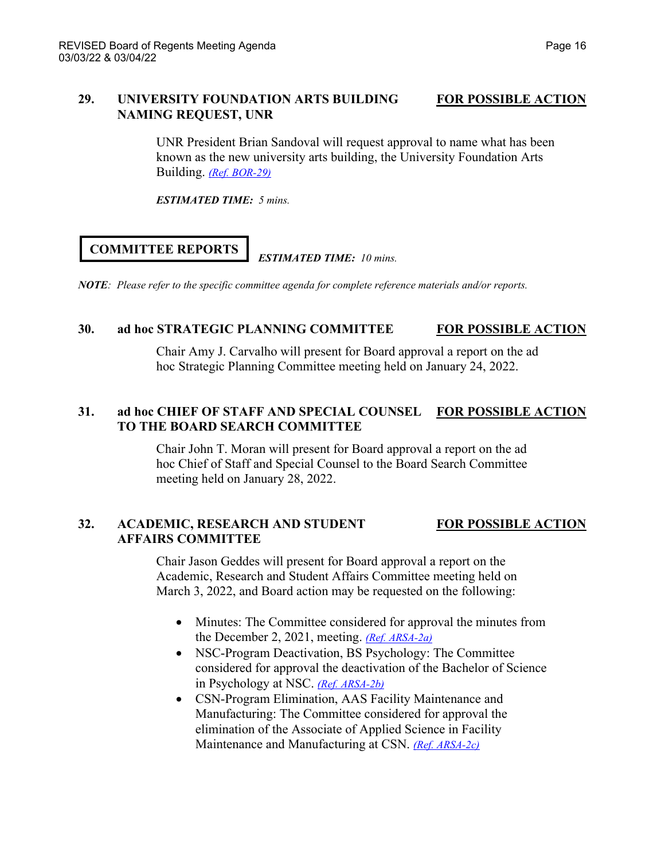## **29. UNIVERSITY FOUNDATION ARTS BUILDING FOR POSSIBLE ACTION NAMING REQUEST, UNR**

UNR President Brian Sandoval will request approval to name what has been known as the new university arts building, the University Foundation Arts Building. *[\(Ref. BOR-29\)](https://nshe.nevada.edu/wp-content/uploads/file/BoardOfRegents/Agendas/2022/03-mar-mtgs/bor-refs/BOR-29.pdf)*

*ESTIMATED TIME: 5 mins.*

# **COMMITTEE REPORTS**

#### *ESTIMATED TIME: 10 mins.*

*NOTE: Please refer to the specific committee agenda for complete reference materials and/or reports.*

## **30. ad hoc STRATEGIC PLANNING COMMITTEE FOR POSSIBLE ACTION**

Chair Amy J. Carvalho will present for Board approval a report on the ad hoc Strategic Planning Committee meeting held on January 24, 2022.

## **31. ad hoc CHIEF OF STAFF AND SPECIAL COUNSEL FOR POSSIBLE ACTION TO THE BOARD SEARCH COMMITTEE**

Chair John T. Moran will present for Board approval a report on the ad hoc Chief of Staff and Special Counsel to the Board Search Committee meeting held on January 28, 2022.

## **32. ACADEMIC, RESEARCH AND STUDENT FOR POSSIBLE ACTION AFFAIRS COMMITTEE**

Chair Jason Geddes will present for Board approval a report on the Academic, Research and Student Affairs Committee meeting held on March 3, 2022, and Board action may be requested on the following:

- Minutes: The Committee considered for approval the minutes from the December 2, 2021, meeting. *[\(Ref. ARSA-2a\)](https://nshe.nevada.edu/wp-content/uploads/file/BoardOfRegents/Agendas/2022/03-mar-mtgs/arsa-refs/ARSA-2a.pdf)*
- NSC-Program Deactivation, BS Psychology: The Committee considered for approval the deactivation of the Bachelor of Science in Psychology at NSC. *[\(Ref. ARSA-2b\)](https://nshe.nevada.edu/wp-content/uploads/file/BoardOfRegents/Agendas/2022/03-mar-mtgs/arsa-refs/ARSA-2b.pdf)*
- CSN-Program Elimination, AAS Facility Maintenance and Manufacturing: The Committee considered for approval the elimination of the Associate of Applied Science in Facility Maintenance and Manufacturing at CSN. *[\(Ref. ARSA-2c\)](https://nshe.nevada.edu/wp-content/uploads/file/BoardOfRegents/Agendas/2022/03-mar-mtgs/arsa-refs/ARSA-2c.pdf)*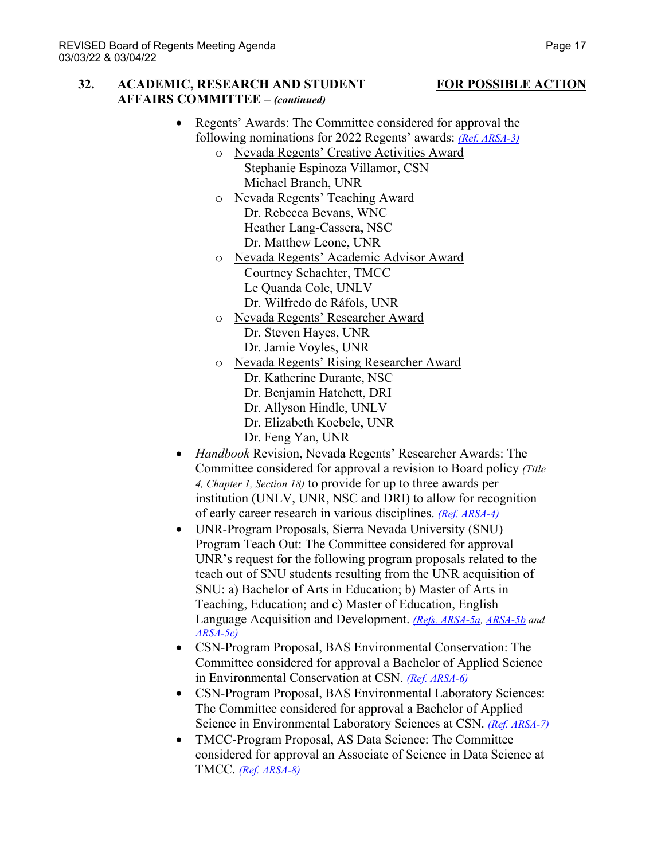#### **32. ACADEMIC, RESEARCH AND STUDENT FOR POSSIBLE ACTION AFFAIRS COMMITTEE –** *(continued)*

- Regents' Awards: The Committee considered for approval the following nominations for 2022 Regents' awards: *[\(Ref. ARSA-3\)](https://nshe.nevada.edu/wp-content/uploads/file/BoardOfRegents/Agendas/2022/03-mar-mtgs/arsa-refs/ARSA-3.pdf)*
	- o Nevada Regents' Creative Activities Award Stephanie Espinoza Villamor, CSN Michael Branch, UNR
	- o Nevada Regents' Teaching Award Dr. Rebecca Bevans, WNC Heather Lang-Cassera, NSC Dr. Matthew Leone, UNR
	- o Nevada Regents' Academic Advisor Award Courtney Schachter, TMCC Le Quanda Cole, UNLV Dr. Wilfredo de Ráfols, UNR
	- o Nevada Regents' Researcher Award Dr. Steven Hayes, UNR Dr. Jamie Voyles, UNR
	- o Nevada Regents' Rising Researcher Award
		- Dr. Katherine Durante, NSC
		- Dr. Benjamin Hatchett, DRI
		- Dr. Allyson Hindle, UNLV
		- Dr. Elizabeth Koebele, UNR
		- Dr. Feng Yan, UNR
- *Handbook* Revision, Nevada Regents' Researcher Awards: The Committee considered for approval a revision to Board policy *(Title 4, Chapter 1, Section 18)* to provide for up to three awards per institution (UNLV, UNR, NSC and DRI) to allow for recognition of early career research in various disciplines. *[\(Ref. ARSA-4\)](https://nshe.nevada.edu/wp-content/uploads/file/BoardOfRegents/Agendas/2022/03-mar-mtgs/arsa-refs/ARSA-4.pdf)*
- UNR-Program Proposals, Sierra Nevada University (SNU) Program Teach Out: The Committee considered for approval UNR's request for the following program proposals related to the teach out of SNU students resulting from the UNR acquisition of SNU: a) Bachelor of Arts in Education; b) Master of Arts in Teaching, Education; and c) Master of Education, English Language Acquisition and Development. *[\(Refs. ARSA-5a,](https://nshe.nevada.edu/wp-content/uploads/file/BoardOfRegents/Agendas/2022/03-mar-mtgs/arsa-refs/ARSA-5a.pdf) [ARSA-5b](https://nshe.nevada.edu/wp-content/uploads/file/BoardOfRegents/Agendas/2022/03-mar-mtgs/arsa-refs/ARSA-5b.pdf) and [ARSA-5c\)](https://nshe.nevada.edu/wp-content/uploads/file/BoardOfRegents/Agendas/2022/03-mar-mtgs/arsa-refs/ARSA-5c.pdf)*
- CSN-Program Proposal, BAS Environmental Conservation: The Committee considered for approval a Bachelor of Applied Science in Environmental Conservation at CSN. *[\(Ref. ARSA-6\)](https://nshe.nevada.edu/wp-content/uploads/file/BoardOfRegents/Agendas/2022/03-mar-mtgs/arsa-refs/ARSA-6.pdf)*
- CSN-Program Proposal, BAS Environmental Laboratory Sciences: The Committee considered for approval a Bachelor of Applied Science in Environmental Laboratory Sciences at CSN. *[\(Ref. ARSA-7\)](https://nshe.nevada.edu/wp-content/uploads/file/BoardOfRegents/Agendas/2022/03-mar-mtgs/arsa-refs/ARSA-7.pdf)*
- TMCC-Program Proposal, AS Data Science: The Committee considered for approval an Associate of Science in Data Science at TMCC. *[\(Ref. ARSA-8\)](https://nshe.nevada.edu/wp-content/uploads/file/BoardOfRegents/Agendas/2022/03-mar-mtgs/arsa-refs/ARSA-8.pdf)*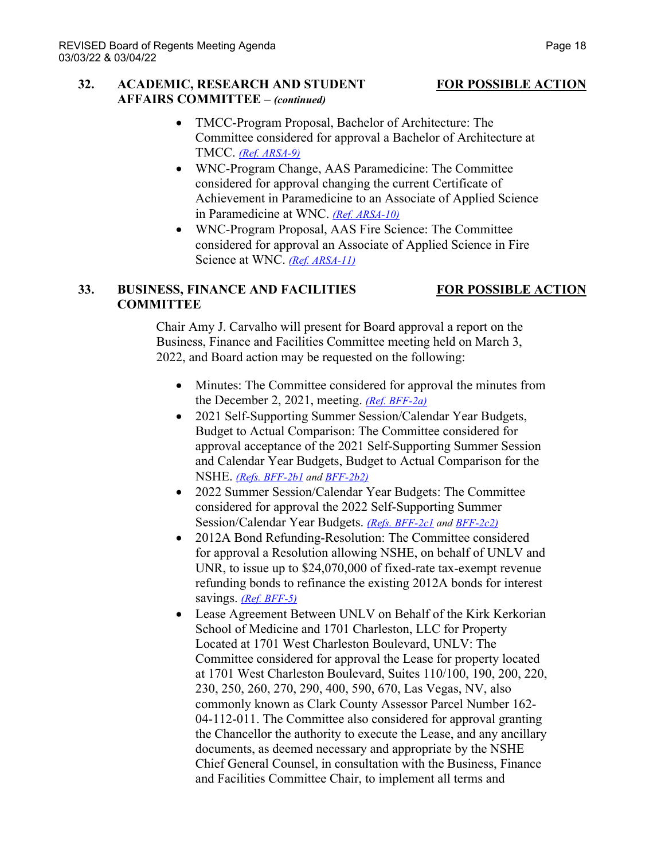### **32. ACADEMIC, RESEARCH AND STUDENT FOR POSSIBLE ACTION AFFAIRS COMMITTEE –** *(continued)*

- TMCC-Program Proposal, Bachelor of Architecture: The Committee considered for approval a Bachelor of Architecture at TMCC. *[\(Ref. ARSA-9\)](https://nshe.nevada.edu/wp-content/uploads/file/BoardOfRegents/Agendas/2022/03-mar-mtgs/arsa-refs/ARSA-9.pdf)*
- WNC-Program Change, AAS Paramedicine: The Committee considered for approval changing the current Certificate of Achievement in Paramedicine to an Associate of Applied Science in Paramedicine at WNC. *[\(Ref. ARSA-10\)](https://nshe.nevada.edu/wp-content/uploads/file/BoardOfRegents/Agendas/2022/03-mar-mtgs/arsa-refs/ARSA-10.pdf)*
- WNC-Program Proposal, AAS Fire Science: The Committee considered for approval an Associate of Applied Science in Fire Science at WNC. *[\(Ref. ARSA-11\)](https://nshe.nevada.edu/wp-content/uploads/file/BoardOfRegents/Agendas/2022/03-mar-mtgs/arsa-refs/ARSA-11.pdf)*

### **33. BUSINESS, FINANCE AND FACILITIES FOR POSSIBLE ACTION COMMITTEE**

Chair Amy J. Carvalho will present for Board approval a report on the Business, Finance and Facilities Committee meeting held on March 3, 2022, and Board action may be requested on the following:

- Minutes: The Committee considered for approval the minutes from the December 2, 2021, meeting. *[\(Ref. BFF-2a\)](https://nshe.nevada.edu/wp-content/uploads/file/BoardOfRegents/Agendas/2022/03-mar-mtgs/bff-refs/BFF-2a.pdf)*
- 2021 Self-Supporting Summer Session/Calendar Year Budgets, Budget to Actual Comparison: The Committee considered for approval acceptance of the 2021 Self-Supporting Summer Session and Calendar Year Budgets, Budget to Actual Comparison for the NSHE. *[\(Refs. BFF-2b1](https://nshe.nevada.edu/wp-content/uploads/file/BoardOfRegents/Agendas/2022/03-mar-mtgs/bff-refs/BFF-2b(1).pdf) an[d BFF-2b2\)](https://nshe.nevada.edu/wp-content/uploads/file/BoardOfRegents/Agendas/2022/03-mar-mtgs/bff-refs/BFF-2b(2).pdf)*
- 2022 Summer Session/Calendar Year Budgets: The Committee considered for approval the 2022 Self-Supporting Summer Session/Calendar Year Budgets. *[\(Refs. BFF-2c1](https://nshe.nevada.edu/wp-content/uploads/file/BoardOfRegents/Agendas/2022/03-mar-mtgs/bff-refs/BFF-2c(1).pdf) an[d BFF-2c2\)](https://nshe.nevada.edu/wp-content/uploads/file/BoardOfRegents/Agendas/2022/03-mar-mtgs/bff-refs/BFF-2c(2).pdf)*
- 2012A Bond Refunding-Resolution: The Committee considered for approval a Resolution allowing NSHE, on behalf of UNLV and UNR, to issue up to \$24,070,000 of fixed-rate tax-exempt revenue refunding bonds to refinance the existing 2012A bonds for interest savings. *[\(Ref. BFF-5\)](https://nshe.nevada.edu/wp-content/uploads/file/BoardOfRegents/Agendas/2022/03-mar-mtgs/bff-refs/BFF-5.pdf)*
- Lease Agreement Between UNLV on Behalf of the Kirk Kerkorian School of Medicine and 1701 Charleston, LLC for Property Located at 1701 West Charleston Boulevard, UNLV: The Committee considered for approval the Lease for property located at 1701 West Charleston Boulevard, Suites 110/100, 190, 200, 220, 230, 250, 260, 270, 290, 400, 590, 670, Las Vegas, NV, also commonly known as Clark County Assessor Parcel Number 162- 04-112-011. The Committee also considered for approval granting the Chancellor the authority to execute the Lease, and any ancillary documents, as deemed necessary and appropriate by the NSHE Chief General Counsel, in consultation with the Business, Finance and Facilities Committee Chair, to implement all terms and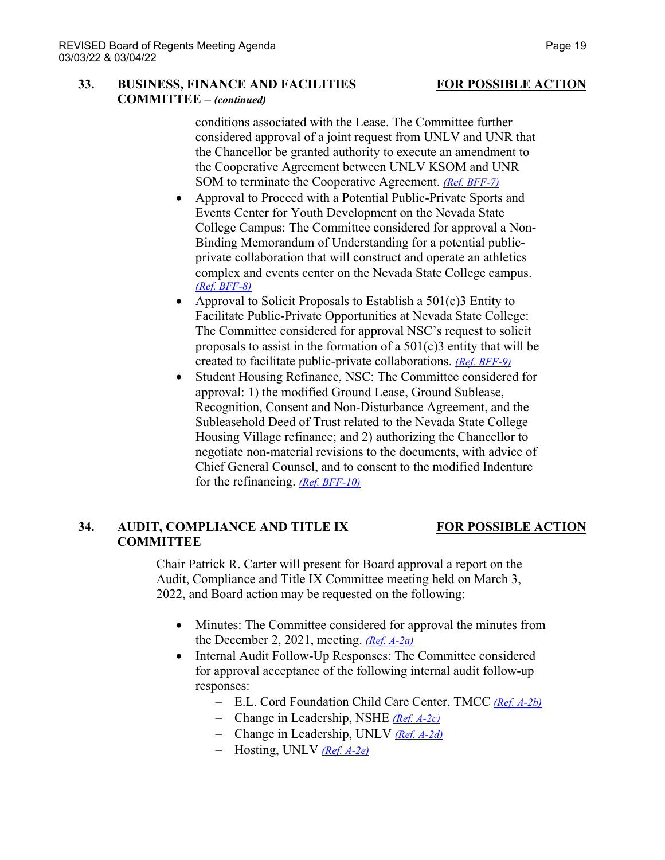### **33. BUSINESS, FINANCE AND FACILITIES FOR POSSIBLE ACTION COMMITTEE –** *(continued)*

conditions associated with the Lease. The Committee further considered approval of a joint request from UNLV and UNR that the Chancellor be granted authority to execute an amendment to the Cooperative Agreement between UNLV KSOM and UNR SOM to terminate the Cooperative Agreement. *(Ref. [BFF-7\)](https://nshe.nevada.edu/wp-content/uploads/file/BoardOfRegents/Agendas/2022/03-mar-mtgs/bff-refs/BFF-7.pdf)*

- Approval to Proceed with a Potential Public-Private Sports and Events Center for Youth Development on the Nevada State College Campus: The Committee considered for approval a Non-Binding Memorandum of Understanding for a potential publicprivate collaboration that will construct and operate an athletics complex and events center on the Nevada State College campus. *[\(Ref. BFF-8\)](https://nshe.nevada.edu/wp-content/uploads/file/BoardOfRegents/Agendas/2022/03-mar-mtgs/bff-refs/BFF-8.pdf)*
- Approval to Solicit Proposals to Establish a  $501(c)$ 3 Entity to Facilitate Public-Private Opportunities at Nevada State College: The Committee considered for approval NSC's request to solicit proposals to assist in the formation of a  $501(c)3$  entity that will be created to facilitate public-private collaborations. *[\(Ref. BFF-9\)](https://nshe.nevada.edu/wp-content/uploads/file/BoardOfRegents/Agendas/2022/03-mar-mtgs/bff-refs/BFF-9.pdf)*
- Student Housing Refinance, NSC: The Committee considered for approval: 1) the modified Ground Lease, Ground Sublease, Recognition, Consent and Non-Disturbance Agreement, and the Subleasehold Deed of Trust related to the Nevada State College Housing Village refinance; and 2) authorizing the Chancellor to negotiate non-material revisions to the documents, with advice of Chief General Counsel, and to consent to the modified Indenture for the refinancing. *[\(Ref. BFF-10\)](https://nshe.nevada.edu/wp-content/uploads/file/BoardOfRegents/Agendas/2022/03-mar-mtgs/bff-refs/BFF-10.pdf)*

## **34. AUDIT, COMPLIANCE AND TITLE IX FOR POSSIBLE ACTION COMMITTEE**

Chair Patrick R. Carter will present for Board approval a report on the Audit, Compliance and Title IX Committee meeting held on March 3, 2022, and Board action may be requested on the following:

- Minutes: The Committee considered for approval the minutes from the December 2, 2021, meeting. *[\(Ref. A-2a\)](https://nshe.nevada.edu/wp-content/uploads/file/BoardOfRegents/Agendas/2022/03-mar-mtgs/ac-refs/A-2a.pdf)*
- Internal Audit Follow-Up Responses: The Committee considered for approval acceptance of the following internal audit follow-up responses:
	- − E.L. Cord Foundation Child Care Center, TMCC *[\(Ref. A-2b\)](https://nshe.nevada.edu/wp-content/uploads/file/BoardOfRegents/Agendas/2022/03-mar-mtgs/ac-refs/A-2b.pdf)*
	- − Change in Leadership, NSHE *[\(Ref. A-2c\)](https://nshe.nevada.edu/wp-content/uploads/file/BoardOfRegents/Agendas/2022/03-mar-mtgs/ac-refs/A-2c.pdf)*
	- − Change in Leadership, UNLV *[\(Ref. A-2d\)](https://nshe.nevada.edu/wp-content/uploads/file/BoardOfRegents/Agendas/2022/03-mar-mtgs/ac-refs/A-2d.pdf)*
	- − Hosting, UNLV *[\(Ref. A-2e\)](https://nshe.nevada.edu/wp-content/uploads/file/BoardOfRegents/Agendas/2022/03-mar-mtgs/ac-refs/A-2e.pdf)*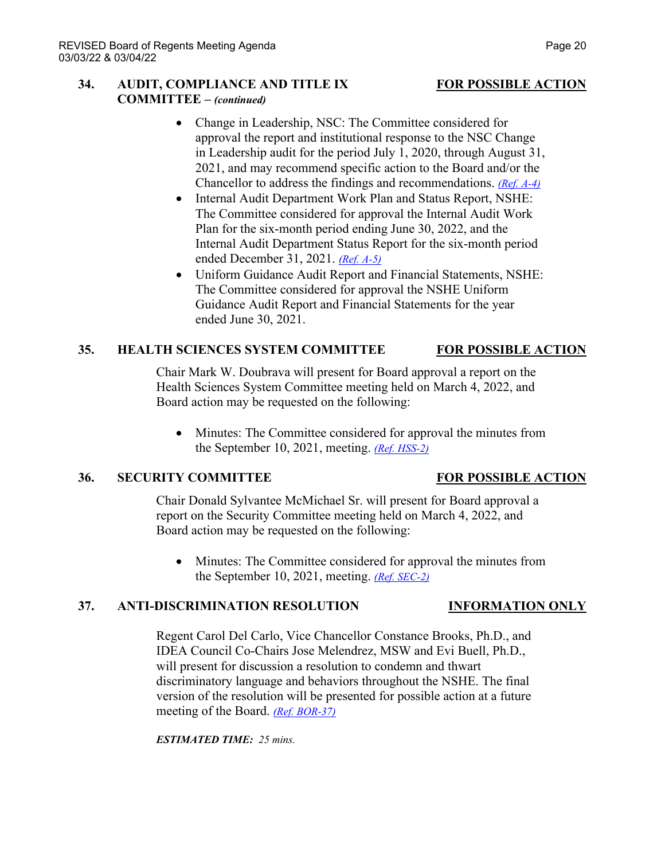## **34. AUDIT, COMPLIANCE AND TITLE IX FOR POSSIBLE ACTION COMMITTEE –** *(continued)*

- Change in Leadership, NSC: The Committee considered for approval the report and institutional response to the NSC Change in Leadership audit for the period July 1, 2020, through August 31, 2021, and may recommend specific action to the Board and/or the Chancellor to address the findings and recommendations. *[\(Ref. A-4\)](https://nshe.nevada.edu/wp-content/uploads/file/BoardOfRegents/Agendas/2022/03-mar-mtgs/ac-refs/A-4.pdf)*
- Internal Audit Department Work Plan and Status Report, NSHE: The Committee considered for approval the Internal Audit Work Plan for the six-month period ending June 30, 2022, and the Internal Audit Department Status Report for the six-month period ended December 31, 2021. *[\(Ref. A-5\)](https://nshe.nevada.edu/wp-content/uploads/file/BoardOfRegents/Agendas/2022/03-mar-mtgs/ac-refs/A-5.pdf)*
- Uniform Guidance Audit Report and Financial Statements, NSHE: The Committee considered for approval the NSHE Uniform Guidance Audit Report and Financial Statements for the year ended June 30, 2021.

## **35. HEALTH SCIENCES SYSTEM COMMITTEE FOR POSSIBLE ACTION**

Chair Mark W. Doubrava will present for Board approval a report on the Health Sciences System Committee meeting held on March 4, 2022, and Board action may be requested on the following:

• Minutes: The Committee considered for approval the minutes from the September 10, 2021, meeting. *[\(Ref. HSS-2\)](https://nshe.nevada.edu/wp-content/uploads/file/BoardOfRegents/Agendas/2022/03-mar-mtgs/hss-refs/HSS-2.pdf)*

## **36. SECURITY COMMITTEE FOR POSSIBLE ACTION**

Chair Donald Sylvantee McMichael Sr. will present for Board approval a report on the Security Committee meeting held on March 4, 2022, and Board action may be requested on the following:

• Minutes: The Committee considered for approval the minutes from the September 10, 2021, meeting. *[\(Ref. SEC-2\)](https://nshe.nevada.edu/wp-content/uploads/file/BoardOfRegents/Agendas/2022/03-mar-mtgs/sec-refs/SEC-2.pdf)*

## **37. ANTI-DISCRIMINATION RESOLUTION INFORMATION ONLY**

### Regent Carol Del Carlo, Vice Chancellor Constance Brooks, Ph.D., and IDEA Council Co-Chairs Jose Melendrez, MSW and Evi Buell, Ph.D., will present for discussion a resolution to condemn and thwart discriminatory language and behaviors throughout the NSHE. The final version of the resolution will be presented for possible action at a future meeting of the Board. *[\(Ref. BOR-37\)](https://nshe.nevada.edu/wp-content/uploads/file/BoardOfRegents/Agendas/2022/03-mar-mtgs/bor-refs/BOR-37.pdf)*

*ESTIMATED TIME: 25 mins.*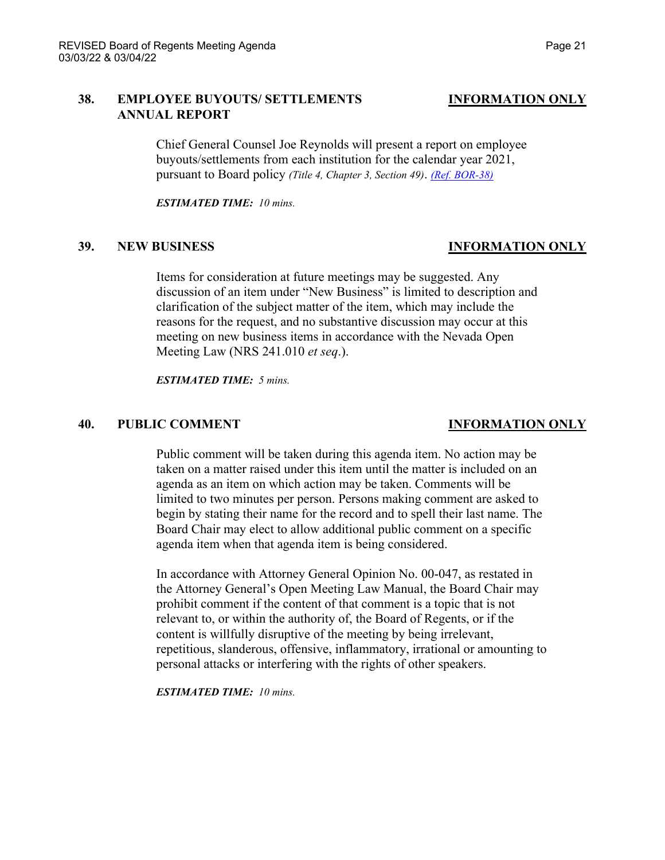### **38. EMPLOYEE BUYOUTS/ SETTLEMENTS INFORMATION ONLY ANNUAL REPORT**

Chief General Counsel Joe Reynolds will present a report on employee buyouts/settlements from each institution for the calendar year 2021, pursuant to Board policy *(Title 4, Chapter 3, Section 49)*. *[\(Ref. BOR-38\)](https://nshe.nevada.edu/wp-content/uploads/file/BoardOfRegents/Agendas/2022/03-mar-mtgs/bor-refs/BOR-38.pdf)*

*ESTIMATED TIME: 10 mins.*

## **39. NEW BUSINESS INFORMATION ONLY**

Items for consideration at future meetings may be suggested. Any discussion of an item under "New Business" is limited to description and clarification of the subject matter of the item, which may include the reasons for the request, and no substantive discussion may occur at this meeting on new business items in accordance with the Nevada Open Meeting Law (NRS 241.010 *et seq*.).

*ESTIMATED TIME: 5 mins.*

### **40. PUBLIC COMMENT INFORMATION ONLY**

Public comment will be taken during this agenda item. No action may be taken on a matter raised under this item until the matter is included on an agenda as an item on which action may be taken. Comments will be limited to two minutes per person. Persons making comment are asked to begin by stating their name for the record and to spell their last name. The Board Chair may elect to allow additional public comment on a specific agenda item when that agenda item is being considered.

In accordance with Attorney General Opinion No. 00-047, as restated in the Attorney General's Open Meeting Law Manual, the Board Chair may prohibit comment if the content of that comment is a topic that is not relevant to, or within the authority of, the Board of Regents, or if the content is willfully disruptive of the meeting by being irrelevant, repetitious, slanderous, offensive, inflammatory, irrational or amounting to personal attacks or interfering with the rights of other speakers.

*ESTIMATED TIME: 10 mins.*